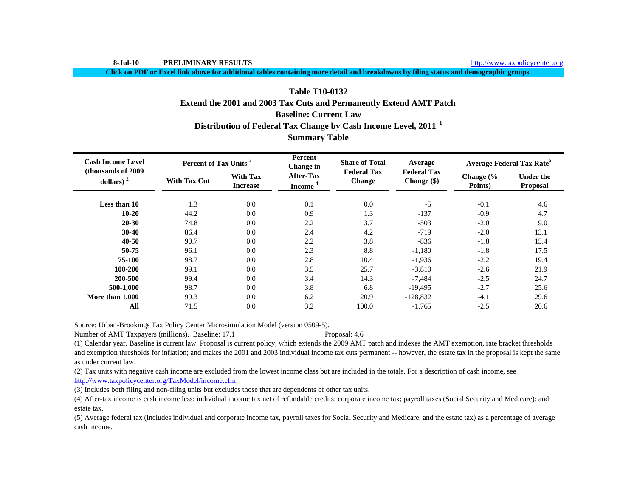http://www.taxpolicycenter.org

**Click on PDF or Excel link above for additional tables containing more detail and breakdowns by filing status and demographic groups.**

# **Table T10-0132Extend the 2001 and 2003 Tax Cuts and Permanently Extend AMT Patch**

# **Baseline: Current Law**

# **Distribution of Federal Tax Change by Cash Income Level, 2011 <sup>1</sup>**

# **Summary Table**

| <b>Cash Income Level</b>            | Percent of Tax Units <sup>3</sup> |                                    | Percent<br>Change in                    | <b>Share of Total</b>               | Average                             |                      | <b>Average Federal Tax Rate<sup>5</sup></b> |
|-------------------------------------|-----------------------------------|------------------------------------|-----------------------------------------|-------------------------------------|-------------------------------------|----------------------|---------------------------------------------|
| (thousands of 2009)<br>dollars) $2$ | <b>With Tax Cut</b>               | <b>With Tax</b><br><b>Increase</b> | <b>After-Tax</b><br>Income <sup>4</sup> | <b>Federal Tax</b><br><b>Change</b> | <b>Federal Tax</b><br>Change $(\$)$ | Change (%<br>Points) | <b>Under the</b><br>Proposal                |
| <b>Less than 10</b>                 | 1.3                               | 0.0                                | 0.1                                     | 0.0                                 | $-5$                                | $-0.1$               | 4.6                                         |
| $10 - 20$                           | 44.2                              | 0.0                                | 0.9                                     | 1.3                                 | $-137$                              | $-0.9$               | 4.7                                         |
| $20 - 30$                           | 74.8                              | 0.0                                | 2.2                                     | 3.7                                 | $-503$                              | $-2.0$               | 9.0                                         |
| $30-40$                             | 86.4                              | 0.0                                | 2.4                                     | 4.2                                 | $-719$                              | $-2.0$               | 13.1                                        |
| $40 - 50$                           | 90.7                              | 0.0                                | 2.2                                     | 3.8                                 | $-836$                              | $-1.8$               | 15.4                                        |
| 50-75                               | 96.1                              | 0.0                                | 2.3                                     | 8.8                                 | $-1,180$                            | $-1.8$               | 17.5                                        |
| 75-100                              | 98.7                              | 0.0                                | 2.8                                     | 10.4                                | $-1,936$                            | $-2.2$               | 19.4                                        |
| 100-200                             | 99.1                              | 0.0                                | 3.5                                     | 25.7                                | $-3,810$                            | $-2.6$               | 21.9                                        |
| 200-500                             | 99.4                              | 0.0                                | 3.4                                     | 14.3                                | $-7,484$                            | $-2.5$               | 24.7                                        |
| 500-1,000                           | 98.7                              | 0.0                                | 3.8                                     | 6.8                                 | $-19,495$                           | $-2.7$               | 25.6                                        |
| More than 1,000                     | 99.3                              | 0.0                                | 6.2                                     | 20.9                                | $-128,832$                          | $-4.1$               | 29.6                                        |
| All                                 | 71.5                              | 0.0                                | 3.2                                     | 100.0                               | $-1,765$                            | $-2.5$               | 20.6                                        |

Source: Urban-Brookings Tax Policy Center Microsimulation Model (version 0509-5).

Number of AMT Taxpayers (millions). Baseline: 17.1 Proposal: 4.6

(1) Calendar year. Baseline is current law. Proposal is current policy, which extends the 2009 AMT patch and indexes the AMT exemption, rate bracket thresholds and exemption thresholds for inflation; and makes the 2001 and 2003 individual income tax cuts permanent -- however, the estate tax in the proposal is kept the same as under current law.

(2) Tax units with negative cash income are excluded from the lowest income class but are included in the totals. For a description of cash income, see http://www.taxpolicycenter.org/TaxModel/income.cfm

(3) Includes both filing and non-filing units but excludes those that are dependents of other tax units.

(4) After-tax income is cash income less: individual income tax net of refundable credits; corporate income tax; payroll taxes (Social Security and Medicare); and estate tax.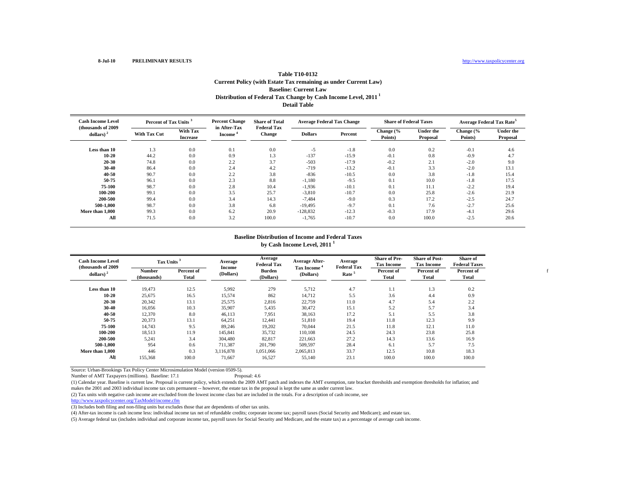f

| <b>Table T10-0132</b>                                                      |
|----------------------------------------------------------------------------|
| Current Policy (with Estate Tax remaining as under Current Law)            |
| <b>Baseline: Current Law</b>                                               |
| Distribution of Federal Tax Change by Cash Income Level, 2011 <sup>1</sup> |
| <b>Detail Table</b>                                                        |

| <b>Cash Income Level</b>            | Percent of Tax Units |                             | <b>Percent Change</b>               | <b>Share of Total</b><br><b>Federal Tax</b> |                | <b>Average Federal Tax Change</b> | <b>Share of Federal Taxes</b> |                       | Average Federal Tax Rate <sup>5</sup> |                       |  |
|-------------------------------------|----------------------|-----------------------------|-------------------------------------|---------------------------------------------|----------------|-----------------------------------|-------------------------------|-----------------------|---------------------------------------|-----------------------|--|
| (thousands of 2009)<br>dollars) $2$ | <b>With Tax Cut</b>  | With Tax<br><b>Increase</b> | in After-Tax<br>Income <sup>*</sup> | Change                                      | <b>Dollars</b> | Percent                           | Change (%<br>Points)          | Under the<br>Proposal | Change (%<br>Points)                  | Under the<br>Proposal |  |
| Less than 10                        | 1.3                  | 0.0                         | 0.1                                 | 0.0                                         | $-5$           | $-1.8$                            | 0.0                           | 0.2                   | $-0.1$                                | 4.6                   |  |
| $10 - 20$                           | 44.2                 | 0.0                         | 0.9                                 | 1.3                                         | $-137$         | $-15.9$                           | $-0.1$                        | 0.8                   | $-0.9$                                | 4.7                   |  |
| 20-30                               | 74.8                 | 0.0                         | 2.2                                 | 3.7                                         | $-503$         | $-17.9$                           | $-0.2$                        | 2.1                   | $-2.0$                                | 9.0                   |  |
| 30-40                               | 86.4                 | 0.0                         | 2.4                                 | 4.2                                         | $-719$         | $-13.2$                           | $-0.1$                        | 3.3                   | $-2.0$                                | 13.1                  |  |
| $40 - 50$                           | 90.7                 | 0.0                         | 2.2                                 | 3.8                                         | $-836$         | $-10.5$                           | 0.0                           | 3.8                   | $-1.8$                                | 15.4                  |  |
| 50-75                               | 96.1                 | 0.0                         | 2.3                                 | 8.8                                         | $-1,180$       | $-9.5$                            | 0.1                           | 10.0                  | $-1.8$                                | 17.5                  |  |
| 75-100                              | 98.7                 | 0.0                         | 2.8                                 | 10.4                                        | $-1,936$       | $-10.1$                           | 0.1                           | 11.1                  | $-2.2$                                | 19.4                  |  |
| 100-200                             | 99.1                 | 0.0                         | 3.5                                 | 25.7                                        | $-3,810$       | $-10.7$                           | 0.0                           | 25.8                  | $-2.6$                                | 21.9                  |  |
| 200-500                             | 99.4                 | 0.0                         | 3.4                                 | 14.3                                        | $-7,484$       | $-9.0$                            | 0.3                           | 17.2                  | $-2.5$                                | 24.7                  |  |
| 500-1.000                           | 98.7                 | 0.0                         | 3.8                                 | 6.8                                         | $-19,495$      | $-9.7$                            | 0.1                           | 7.6                   | $-2.7$                                | 25.6                  |  |
| More than 1,000                     | 99.3                 | 0.0                         | 6.2                                 | 20.9                                        | $-128,832$     | $-12.3$                           | $-0.3$                        | 17.9                  | $-4.1$                                | 29.6                  |  |
| All                                 | 71.5                 | 0.0                         | 3.2                                 | 100.0                                       | $-1,765$       | $-10.7$                           | 0.0                           | 100.0                 | $-2.5$                                | 20.6                  |  |

#### **Baseline Distribution of Income and Federal Taxes by Cash Income Level, 2011 <sup>1</sup>**

| <b>Cash Income Level</b> | Tax Units $3$<br>(thousands of 2009) |                     | Average                    | Average<br><b>Federal Tax</b> | <b>Average After-</b>   | Average<br><b>Federal Tax</b> | <b>Share of Pre-</b><br><b>Tax Income</b> | <b>Share of Post-</b><br><b>Tax Income</b> | Share of<br><b>Federal Taxes</b> |
|--------------------------|--------------------------------------|---------------------|----------------------------|-------------------------------|-------------------------|-------------------------------|-------------------------------------------|--------------------------------------------|----------------------------------|
| dollars) $2$             | Number<br>(thousands)                | Percent of<br>Total | <b>Income</b><br>(Dollars) | <b>Burden</b><br>(Dollars)    | Tax Income<br>(Dollars) | Rate <sup>5</sup>             | Percent of<br>Total                       | Percent of<br>Total                        | Percent of<br>Total              |
| Less than 10             | 19.473                               | 12.5                | 5,992                      | 279                           | 5,712                   | 4.7                           | 1.1                                       | 1.3                                        | 0.2                              |
| $10 - 20$                | 25,675                               | 16.5                | 15,574                     | 862                           | 14,712                  | 5.5                           | 3.6                                       | 4.4                                        | 0.9                              |
| 20-30                    | 20,342                               | 13.1                | 25,575                     | 2,816                         | 22,759                  | 11.0                          | 4.7                                       | 5.4                                        | 2.2                              |
| 30-40                    | 16,056                               | 10.3                | 35,907                     | 5,435                         | 30,472                  | 15.1                          | 5.2                                       | 5.7                                        | 3.4                              |
| 40-50                    | 12,370                               | 8.0                 | 46.113                     | 7,951                         | 38,163                  | 17.2                          | 5.1                                       | 5.5                                        | 3.8                              |
| 50-75                    | 20,373                               | 13.1                | 64,251                     | 12,441                        | 51,810                  | 19.4                          | 11.8                                      | 12.3                                       | 9.9                              |
| 75-100                   | 14,743                               | 9.5                 | 89,246                     | 19,202                        | 70,044                  | 21.5                          | 11.8                                      | 12.1                                       | 11.0                             |
| 100-200                  | 18,513                               | 11.9                | 145,841                    | 35,732                        | 110.108                 | 24.5                          | 24.3                                      | 23.8                                       | 25.8                             |
| 200-500                  | 5,241                                | 3.4                 | 304,480                    | 82,817                        | 221,663                 | 27.2                          | 14.3                                      | 13.6                                       | 16.9                             |
| 500-1.000                | 954                                  | 0.6                 | 711.387                    | 201.790                       | 509.597                 | 28.4                          | 6.1                                       | 5.7                                        | 7.5                              |
| More than 1,000          | 446                                  | 0.3                 | 3.116.878                  | 1.051.066                     | 2,065,813               | 33.7                          | 12.5                                      | 10.8                                       | 18.3                             |
| All                      | 155,368                              | 100.0               | 71,667                     | 16,527                        | 55,140                  | 23.1                          | 100.0                                     | 100.0                                      | 100.0                            |

Source: Urban-Brookings Tax Policy Center Microsimulation Model (version 0509-5).

Number of AMT Taxpayers (millions). Baseline: 17.1

(1) Calendar year. Baseline is current law. Proposal is current policy, which extends the 2009 AMT patch and indexes the AMT exemption, rate bracket thresholds and exemption thresholds for inflation; and makes the 2001 and 2003 individual income tax cuts permanent -- however, the estate tax in the proposal is kept the same as under current law.

(2) Tax units with negative cash income are excluded from the lowest income class but are included in the totals. For a description of cash income, see

http://www.taxpolicycenter.org/TaxModel/income.cfm

(3) Includes both filing and non-filing units but excludes those that are dependents of other tax units.

(4) After-tax income is cash income less: individual income tax net of refundable credits; corporate income tax; payroll taxes (Social Security and Medicare); and estate tax.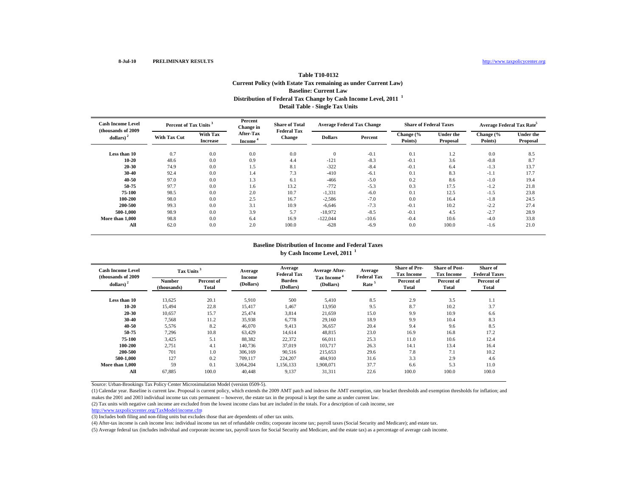## **Distribution of Federal Tax Change by Cash Income Level, 2011 <sup>1</sup> Detail Table - Single Tax Units Table T10-0132 Current Policy (with Estate Tax remaining as under Current Law) Baseline: Current Law**

| <b>Cash Income Level</b><br>(thousands of 2009) |                     | Percent of Tax Units <sup>3</sup> |                                         | <b>Share of Total</b><br><b>Federal Tax</b> |                | <b>Average Federal Tax Change</b> | <b>Share of Federal Taxes</b> |                              | Average Federal Tax Rate <sup>5</sup> |                              |  |
|-------------------------------------------------|---------------------|-----------------------------------|-----------------------------------------|---------------------------------------------|----------------|-----------------------------------|-------------------------------|------------------------------|---------------------------------------|------------------------------|--|
| dollars) $2$                                    | <b>With Tax Cut</b> | With Tax<br><b>Increase</b>       | <b>After-Tax</b><br>Income <sup>-</sup> | <b>Change</b>                               | <b>Dollars</b> | Percent                           | Change (%<br>Points)          | <b>Under the</b><br>Proposal | Change (%<br>Points)                  | <b>Under the</b><br>Proposal |  |
| Less than 10                                    | 0.7                 | 0.0                               | 0.0                                     | 0.0                                         | $\mathbf{0}$   | $-0.1$                            | 0.1                           | 1.2                          | 0.0                                   | 8.5                          |  |
| $10 - 20$                                       | 48.6                | 0.0                               | 0.9                                     | 4.4                                         | $-121$         | $-8.3$                            | $-0.1$                        | 3.6                          | $-0.8$                                | 8.7                          |  |
| $20 - 30$                                       | 74.9                | 0.0                               | 1.5                                     | 8.1                                         | $-322$         | $-8.4$                            | $-0.1$                        | 6.4                          | $-1.3$                                | 13.7                         |  |
| $30 - 40$                                       | 92.4                | 0.0                               | 1.4                                     | 7.3                                         | $-410$         | $-6.1$                            | 0.1                           | 8.3                          | $-1.1$                                | 17.7                         |  |
| $40 - 50$                                       | 97.0                | 0.0                               | 1.3                                     | 6.1                                         | $-466$         | $-5.0$                            | 0.2                           | 8.6                          | $-1.0$                                | 19.4                         |  |
| 50-75                                           | 97.7                | 0.0                               | 1.6                                     | 13.2                                        | $-772$         | $-5.3$                            | 0.3                           | 17.5                         | $-1.2$                                | 21.8                         |  |
| 75-100                                          | 98.5                | 0.0                               | 2.0                                     | 10.7                                        | $-1,331$       | $-6.0$                            | 0.1                           | 12.5                         | $-1.5$                                | 23.8                         |  |
| 100-200                                         | 98.0                | 0.0                               | 2.5                                     | 16.7                                        | $-2,586$       | $-7.0$                            | 0.0                           | 16.4                         | $-1.8$                                | 24.5                         |  |
| 200-500                                         | 99.3                | 0.0                               | 3.1                                     | 10.9                                        | $-6,646$       | $-7.3$                            | $-0.1$                        | 10.2                         | $-2.2$                                | 27.4                         |  |
| 500-1.000                                       | 98.9                | 0.0                               | 3.9                                     | 5.7                                         | $-18,972$      | $-8.5$                            | $-0.1$                        | 4.5                          | $-2.7$                                | 28.9                         |  |
| More than 1,000                                 | 98.8                | 0.0                               | 6.4                                     | 16.9                                        | $-122,044$     | $-10.6$                           | $-0.4$                        | 10.6                         | $-4.0$                                | 33.8                         |  |
| All                                             | 62.0                | 0.0                               | 2.0                                     | 100.0                                       | $-628$         | $-6.9$                            | 0.0                           | 100.0                        | $-1.6$                                | 21.0                         |  |

#### **Baseline Distribution of Income and Federal Taxes by Cash Income Level, 2011 <sup>1</sup>**

| <b>Cash Income Level</b><br>(thousands of 2009) | Tax Units <sup>3</sup>       |                     | Average             | Average<br><b>Federal Tax</b> | <b>Average After-</b><br>Tax Income <sup>*</sup> | Average<br><b>Federal Tax</b> | <b>Share of Pre-</b><br><b>Tax Income</b> | <b>Share of Post-</b><br><b>Tax Income</b> | Share of<br><b>Federal Taxes</b> |
|-------------------------------------------------|------------------------------|---------------------|---------------------|-------------------------------|--------------------------------------------------|-------------------------------|-------------------------------------------|--------------------------------------------|----------------------------------|
| dollars) <sup>2</sup>                           | <b>Number</b><br>(thousands) | Percent of<br>Total | Income<br>(Dollars) | <b>Burden</b><br>(Dollars)    | (Dollars)                                        | Rate <sup>5</sup>             | Percent of<br>Total                       | Percent of<br>Total                        | Percent of<br>Total              |
| Less than 10                                    | 13,625                       | 20.1                | 5,910               | 500                           | 5,410                                            | 8.5                           | 2.9                                       | 3.5                                        | 1.1                              |
| $10 - 20$                                       | 15,494                       | 22.8                | 15.417              | 1,467                         | 13.950                                           | 9.5                           | 8.7                                       | 10.2                                       | 3.7                              |
| $20 - 30$                                       | 10,657                       | 15.7                | 25,474              | 3,814                         | 21,659                                           | 15.0                          | 9.9                                       | 10.9                                       | 6.6                              |
| 30-40                                           | 7,568                        | 11.2                | 35,938              | 6,778                         | 29,160                                           | 18.9                          | 9.9                                       | 10.4                                       | 8.3                              |
| $40 - 50$                                       | 5,576                        | 8.2                 | 46,070              | 9,413                         | 36,657                                           | 20.4                          | 9.4                                       | 9.6                                        | 8.5                              |
| 50-75                                           | 7,296                        | 10.8                | 63.429              | 14.614                        | 48.815                                           | 23.0                          | 16.9                                      | 16.8                                       | 17.2                             |
| 75-100                                          | 3,425                        | 5.1                 | 88,382              | 22,372                        | 66,011                                           | 25.3                          | 11.0                                      | 10.6                                       | 12.4                             |
| 100-200                                         | 2,751                        | 4.1                 | 140,736             | 37,019                        | 103,717                                          | 26.3                          | 14.1                                      | 13.4                                       | 16.4                             |
| 200-500                                         | 701                          | 1.0                 | 306,169             | 90,516                        | 215,653                                          | 29.6                          | 7.8                                       | 7.1                                        | 10.2                             |
| 500-1.000                                       | 127                          | 0.2                 | 709.117             | 224,207                       | 484,910                                          | 31.6                          | 3.3                                       | 2.9                                        | 4.6                              |
| More than 1.000                                 | 59                           | 0.1                 | 3.064.204           | 1,156,133                     | 1.908.071                                        | 37.7                          | 6.6                                       | 5.3                                        | 11.0                             |
| All                                             | 67.885                       | 100.0               | 40.448              | 9,137                         | 31.311                                           | 22.6                          | 100.0                                     | 100.0                                      | 100.0                            |

Source: Urban-Brookings Tax Policy Center Microsimulation Model (version 0509-5).

(1) Calendar year. Baseline is current law. Proposal is current policy, which extends the 2009 AMT patch and indexes the AMT exemption, rate bracket thresholds and exemption thresholds for inflation; and makes the 2001 and 2003 individual income tax cuts permanent -- however, the estate tax in the proposal is kept the same as under current law.

(2) Tax units with negative cash income are excluded from the lowest income class but are included in the totals. For a description of cash income, see

http://www.taxpolicycenter.org/TaxModel/income.cfm

(3) Includes both filing and non-filing units but excludes those that are dependents of other tax units.

(4) After-tax income is cash income less: individual income tax net of refundable credits; corporate income tax; payroll taxes (Social Security and Medicare); and estate tax.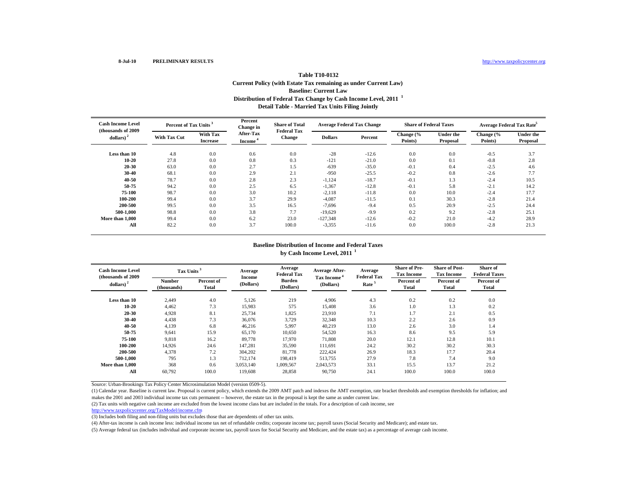## **Distribution of Federal Tax Change by Cash Income Level, 2011 <sup>1</sup> Detail Table - Married Tax Units Filing Jointly Table T10-0132 Current Policy (with Estate Tax remaining as under Current Law) Baseline: Current Law**

| <b>Cash Income Level</b><br>(thousands of 2009) |                     | Percent of Tax Units <sup>3</sup> |                                         | <b>Share of Total</b><br><b>Federal Tax</b> |                | <b>Average Federal Tax Change</b> | <b>Share of Federal Taxes</b> |                              | Average Federal Tax Rate <sup>5</sup> |                              |  |
|-------------------------------------------------|---------------------|-----------------------------------|-----------------------------------------|---------------------------------------------|----------------|-----------------------------------|-------------------------------|------------------------------|---------------------------------------|------------------------------|--|
| dollars) $^{2}$                                 | <b>With Tax Cut</b> | With Tax<br><b>Increase</b>       | <b>After-Tax</b><br>Income <sup>®</sup> | <b>Change</b>                               | <b>Dollars</b> | Percent                           | Change (%<br>Points)          | <b>Under the</b><br>Proposal | Change (%<br>Points)                  | <b>Under the</b><br>Proposal |  |
| Less than 10                                    | 4.8                 | 0.0                               | 0.6                                     | 0.0                                         | $-28$          | $-12.6$                           | 0.0                           | 0.0                          | $-0.5$                                | 3.7                          |  |
| $10 - 20$                                       | 27.8                | 0.0                               | 0.8                                     | 0.3                                         | $-121$         | $-21.0$                           | 0.0                           | 0.1                          | $-0.8$                                | 2.8                          |  |
| $20 - 30$                                       | 63.0                | 0.0                               | 2.7                                     | 1.5                                         | $-639$         | $-35.0$                           | $-0.1$                        | 0.4                          | $-2.5$                                | 4.6                          |  |
| $30 - 40$                                       | 68.1                | 0.0                               | 2.9                                     | 2.1                                         | $-950$         | $-25.5$                           | $-0.2$                        | 0.8                          | $-2.6$                                | 7.7                          |  |
| 40-50                                           | 78.7                | 0.0                               | 2.8                                     | 2.3                                         | $-1,124$       | $-18.7$                           | $-0.1$                        | 1.3                          | $-2.4$                                | 10.5                         |  |
| 50-75                                           | 94.2                | 0.0                               | 2.5                                     | 6.5                                         | $-1,367$       | $-12.8$                           | $-0.1$                        | 5.8                          | $-2.1$                                | 14.2                         |  |
| 75-100                                          | 98.7                | 0.0                               | 3.0                                     | 10.2                                        | $-2,118$       | $-11.8$                           | 0.0                           | 10.0                         | $-2.4$                                | 17.7                         |  |
| 100-200                                         | 99.4                | 0.0                               | 3.7                                     | 29.9                                        | $-4,087$       | $-11.5$                           | 0.1                           | 30.3                         | $-2.8$                                | 21.4                         |  |
| 200-500                                         | 99.5                | 0.0                               | 3.5                                     | 16.5                                        | $-7,696$       | $-9.4$                            | 0.5                           | 20.9                         | $-2.5$                                | 24.4                         |  |
| 500-1.000                                       | 98.8                | 0.0                               | 3.8                                     | 7.7                                         | $-19,629$      | $-9.9$                            | 0.2                           | 9.2                          | $-2.8$                                | 25.1                         |  |
| More than 1,000                                 | 99.4                | 0.0                               | 6.2                                     | 23.0                                        | $-127,348$     | $-12.6$                           | $-0.2$                        | 21.0                         | $-4.2$                                | 28.9                         |  |
| All                                             | 82.2                | 0.0                               | 3.7                                     | 100.0                                       | $-3,355$       | $-11.6$                           | 0.0                           | 100.0                        | $-2.8$                                | 21.3                         |  |

#### **Baseline Distribution of Income and Federal Taxes by Cash Income Level, 2011 <sup>1</sup>**

| <b>Cash Income Level</b><br>(thousands of 2009) | Tax Units <sup>3</sup>       |                     | Average             | Average<br><b>Federal Tax</b>                                                       | <b>Average After-</b><br>Tax Income <sup>*</sup> | Average<br><b>Federal Tax</b> | <b>Share of Pre-</b><br><b>Tax Income</b> | <b>Share of Post-</b><br><b>Tax Income</b> | <b>Share of</b><br><b>Federal Taxes</b> |
|-------------------------------------------------|------------------------------|---------------------|---------------------|-------------------------------------------------------------------------------------|--------------------------------------------------|-------------------------------|-------------------------------------------|--------------------------------------------|-----------------------------------------|
| dollars) $2$                                    | <b>Number</b><br>(thousands) | Percent of<br>Total | Income<br>(Dollars) | <b>Burden</b><br>Percent of<br>Rate <sup>5</sup><br>(Dollars)<br>(Dollars)<br>Total |                                                  | Percent of<br>Total           | Percent of<br><b>Total</b>                |                                            |                                         |
| Less than 10                                    | 2.449                        | 4.0                 | 5,126               | 219                                                                                 | 4,906                                            | 4.3                           | 0.2                                       | 0.2                                        | 0.0                                     |
| 10-20                                           | 4,462                        | 7.3                 | 15,983              | 575                                                                                 | 15,408                                           | 3.6                           | 1.0                                       | 1.3                                        | 0.2                                     |
| $20 - 30$                                       | 4,928                        | 8.1                 | 25,734              | 1,825                                                                               | 23,910                                           | 7.1                           | 1.7                                       | 2.1                                        | 0.5                                     |
| $30 - 40$                                       | 4,438                        | 7.3                 | 36,076              | 3,729                                                                               | 32,348                                           | 10.3                          | 2.2                                       | 2.6                                        | 0.9                                     |
| 40-50                                           | 4,139                        | 6.8                 | 46,216              | 5,997                                                                               | 40,219                                           | 13.0                          | 2.6                                       | 3.0                                        | 1.4                                     |
| 50-75                                           | 9,641                        | 15.9                | 65,170              | 10,650                                                                              | 54,520                                           | 16.3                          | 8.6                                       | 9.5                                        | 5.9                                     |
| 75-100                                          | 9.818                        | 16.2                | 89,778              | 17.970                                                                              | 71,808                                           | 20.0                          | 12.1                                      | 12.8                                       | 10.1                                    |
| 100-200                                         | 14.926                       | 24.6                | 147.281             | 35,590                                                                              | 111.691                                          | 24.2                          | 30.2                                      | 30.2                                       | 30.3                                    |
| 200-500                                         | 4,378                        | 7.2                 | 304,202             | 81,778                                                                              | 222,424                                          | 26.9                          | 18.3                                      | 17.7                                       | 20.4                                    |
| 500-1.000                                       | 795                          | 1.3                 | 712,174             | 198,419                                                                             | 513,755                                          | 27.9                          | 7.8                                       | 7.4                                        | 9.0                                     |
| More than 1,000                                 | 368                          | 0.6                 | 3,053,140           | 1,009,567                                                                           | 2,043,573                                        | 33.1                          | 15.5                                      | 13.7                                       | 21.2                                    |
| All                                             | 60.792                       | 100.0               | 119,608             | 28,858                                                                              | 90,750                                           | 24.1                          | 100.0                                     | 100.0                                      | 100.0                                   |

Source: Urban-Brookings Tax Policy Center Microsimulation Model (version 0509-5).

(1) Calendar year. Baseline is current law. Proposal is current policy, which extends the 2009 AMT patch and indexes the AMT exemption, rate bracket thresholds and exemption thresholds for inflation; and makes the 2001 and 2003 individual income tax cuts permanent -- however, the estate tax in the proposal is kept the same as under current law.

(2) Tax units with negative cash income are excluded from the lowest income class but are included in the totals. For a description of cash income, see

http://www.taxpolicycenter.org/TaxModel/income.cfm

(3) Includes both filing and non-filing units but excludes those that are dependents of other tax units.

(4) After-tax income is cash income less: individual income tax net of refundable credits; corporate income tax; payroll taxes (Social Security and Medicare); and estate tax.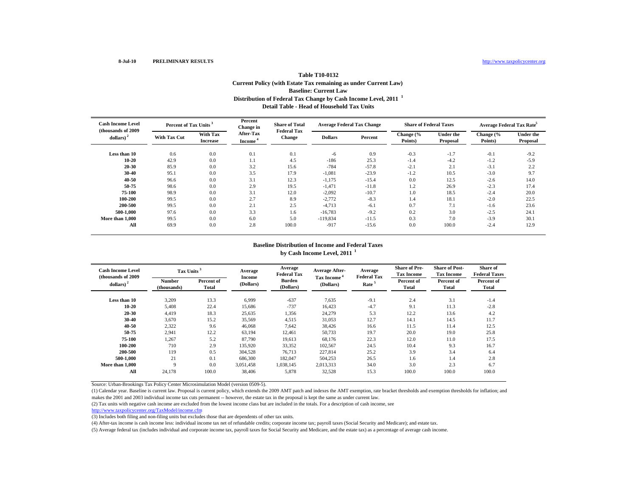## **Distribution of Federal Tax Change by Cash Income Level, 2011 <sup>1</sup> Detail Table - Head of Household Tax UnitsTable T10-0132 Current Policy (with Estate Tax remaining as under Current Law) Baseline: Current Law**

| <b>Cash Income Level</b><br>(thousands of 2009) |              | Percent of Tax Units <sup>3</sup> |                                  | <b>Share of Total</b><br><b>Federal Tax</b> |                | <b>Average Federal Tax Change</b> | <b>Share of Federal Taxes</b> |                              | Average Federal Tax Rate <sup>5</sup> |                              |  |
|-------------------------------------------------|--------------|-----------------------------------|----------------------------------|---------------------------------------------|----------------|-----------------------------------|-------------------------------|------------------------------|---------------------------------------|------------------------------|--|
| $\boldsymbol{\mathrm{dollars}}$ ) <sup>2</sup>  | With Tax Cut | With Tax<br><b>Increase</b>       | After-Tax<br>Income <sup>®</sup> | <b>Change</b>                               | <b>Dollars</b> | Percent                           | Change (%<br>Points)          | <b>Under the</b><br>Proposal | Change (%<br>Points)                  | <b>Under the</b><br>Proposal |  |
| Less than 10                                    | 0.6          | 0.0                               | 0.1                              | 0.1                                         | -6             | 0.9                               | $-0.3$                        | $-1.7$                       | $-0.1$                                | $-9.2$                       |  |
| $10 - 20$                                       | 42.9         | 0.0                               | 1.1                              | 4.5                                         | $-186$         | 25.3                              | $-1.4$                        | $-4.2$                       | $-1.2$                                | $-5.9$                       |  |
| $20 - 30$                                       | 85.9         | 0.0                               | 3.2                              | 15.6                                        | $-784$         | $-57.8$                           | $-2.1$                        | 2.1                          | $-3.1$                                | 2.2                          |  |
| $30 - 40$                                       | 95.1         | 0.0                               | 3.5                              | 17.9                                        | $-1,081$       | $-23.9$                           | $-1.2$                        | 10.5                         | $-3.0$                                | 9.7                          |  |
| 40-50                                           | 96.6         | 0.0                               | 3.1                              | 12.3                                        | $-1,175$       | $-15.4$                           | 0.0                           | 12.5                         | $-2.6$                                | 14.0                         |  |
| 50-75                                           | 98.6         | 0.0                               | 2.9                              | 19.5                                        | $-1,471$       | $-11.8$                           | 1.2                           | 26.9                         | $-2.3$                                | 17.4                         |  |
| 75-100                                          | 98.9         | 0.0                               | 3.1                              | 12.0                                        | $-2,092$       | $-10.7$                           | 1.0                           | 18.5                         | $-2.4$                                | 20.0                         |  |
| 100-200                                         | 99.5         | 0.0                               | 2.7                              | 8.9                                         | $-2,772$       | $-8.3$                            | 1.4                           | 18.1                         | $-2.0$                                | 22.5                         |  |
| 200-500                                         | 99.5         | 0.0                               | 2.1                              | 2.5                                         | $-4,713$       | $-6.1$                            | 0.7                           | 7.1                          | $-1.6$                                | 23.6                         |  |
| 500-1.000                                       | 97.6         | 0.0                               | 3.3                              | 1.6                                         | $-16,783$      | $-9.2$                            | 0.2                           | 3.0                          | $-2.5$                                | 24.1                         |  |
| More than 1,000                                 | 99.5         | 0.0                               | 6.0                              | 5.0                                         | $-119,834$     | $-11.5$                           | 0.3                           | 7.0                          | $-3.9$                                | 30.1                         |  |
| All                                             | 69.9         | 0.0                               | 2.8                              | 100.0                                       | $-917$         | $-15.6$                           | 0.0                           | 100.0                        | $-2.4$                                | 12.9                         |  |

#### **Baseline Distribution of Income and Federal Taxes by Cash Income Level, 2011 <sup>1</sup>**

| <b>Cash Income Level</b><br>(thousands of 2009) | Tax Units <sup>3</sup>       |                     | Average             | Average<br><b>Federal Tax</b> | <b>Average After-</b>                | Average<br><b>Federal Tax</b> | <b>Share of Pre-</b><br><b>Tax Income</b> | <b>Share of Post-</b><br><b>Tax Income</b> | Share of<br><b>Federal Taxes</b> |
|-------------------------------------------------|------------------------------|---------------------|---------------------|-------------------------------|--------------------------------------|-------------------------------|-------------------------------------------|--------------------------------------------|----------------------------------|
| dollars) $2$                                    | <b>Number</b><br>(thousands) | Percent of<br>Total | Income<br>(Dollars) | <b>Burden</b><br>(Dollars)    | Tax Income <sup>4</sup><br>(Dollars) | Rate <sup>5</sup>             | Percent of<br>Total                       | Percent of<br>Total                        | Percent of<br><b>Total</b>       |
| Less than 10                                    | 3,209                        | 13.3                | 6.999               | $-637$                        | 7,635                                | $-9.1$                        | 2.4                                       | 3.1                                        | $-1.4$                           |
| 10-20                                           | 5.408                        | 22.4                | 15,686              | $-737$                        | 16,423                               | $-4.7$                        | 9.1                                       | 11.3                                       | $-2.8$                           |
| $20 - 30$                                       | 4,419                        | 18.3                | 25,635              | 1,356                         | 24,279                               | 5.3                           | 12.2                                      | 13.6                                       | 4.2                              |
| $30 - 40$                                       | 3,670                        | 15.2                | 35,569              | 4,515                         | 31,053                               | 12.7                          | 14.1                                      | 14.5                                       | 11.7                             |
| 40-50                                           | 2,322                        | 9.6                 | 46,068              | 7,642                         | 38,426                               | 16.6                          | 11.5                                      | 11.4                                       | 12.5                             |
| 50-75                                           | 2,941                        | 12.2                | 63,194              | 12,461                        | 50,733                               | 19.7                          | 20.0                                      | 19.0                                       | 25.8                             |
| 75-100                                          | 1,267                        | 5.2                 | 87,790              | 19,613                        | 68,176                               | 22.3                          | 12.0                                      | 11.0                                       | 17.5                             |
| 100-200                                         | 710                          | 2.9                 | 135,920             | 33,352                        | 102.567                              | 24.5                          | 10.4                                      | 9.3                                        | 16.7                             |
| 200-500                                         | 119                          | 0.5                 | 304,528             | 76.713                        | 227,814                              | 25.2                          | 3.9                                       | 3.4                                        | 6.4                              |
| 500-1.000                                       | 21                           | 0.1                 | 686,300             | 182,047                       | 504.253                              | 26.5                          | 1.6                                       | 1.4                                        | 2.8                              |
| More than 1,000                                 | Q                            | 0.0                 | 3.051.458           | 1,038,145                     | 2,013,313                            | 34.0                          | 3.0                                       | 2.3                                        | 6.7                              |
| All                                             | 24,178                       | 100.0               | 38,406              | 5,878                         | 32,528                               | 15.3                          | 100.0                                     | 100.0                                      | 100.0                            |

Source: Urban-Brookings Tax Policy Center Microsimulation Model (version 0509-5).

(1) Calendar year. Baseline is current law. Proposal is current policy, which extends the 2009 AMT patch and indexes the AMT exemption, rate bracket thresholds and exemption thresholds for inflation; and makes the 2001 and 2003 individual income tax cuts permanent -- however, the estate tax in the proposal is kept the same as under current law.

(2) Tax units with negative cash income are excluded from the lowest income class but are included in the totals. For a description of cash income, see

http://www.taxpolicycenter.org/TaxModel/income.cfm

(3) Includes both filing and non-filing units but excludes those that are dependents of other tax units.

(4) After-tax income is cash income less: individual income tax net of refundable credits; corporate income tax; payroll taxes (Social Security and Medicare); and estate tax.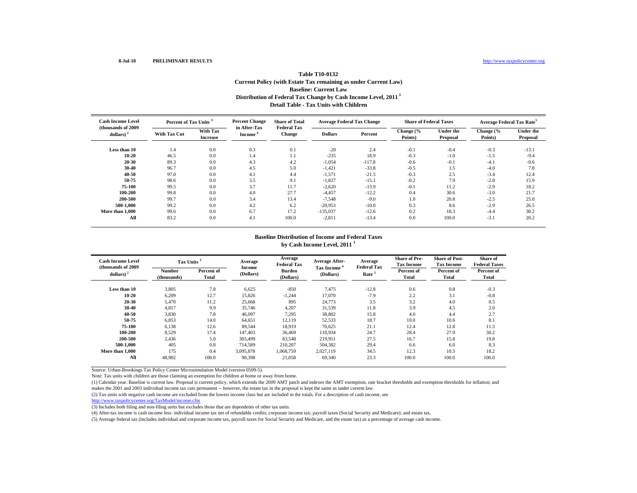# **Distribution of Federal Tax Change by Cash Income Level, 2011 1 Detail Table - Tax Units with Children Table T10-0132Current Policy (with Estate Tax remaining as under Current Law) Baseline: Current Law**

| <b>Cash Income Level</b><br>(thousands of 2009) | Percent of Tax Units <sup>3</sup> |                             | <b>Percent Change</b><br>in After-Tax | <b>Share of Total</b><br><b>Federal Tax</b> |                | <b>Average Federal Tax Change</b> | <b>Share of Federal Taxes</b> |                              | Average Federal Tax Rate <sup>5</sup> |                              |  |
|-------------------------------------------------|-----------------------------------|-----------------------------|---------------------------------------|---------------------------------------------|----------------|-----------------------------------|-------------------------------|------------------------------|---------------------------------------|------------------------------|--|
| dollars) $2$                                    | <b>With Tax Cut</b>               | With Tax<br><b>Increase</b> | Income <sup>®</sup>                   | Change                                      | <b>Dollars</b> | Percent                           | Change (%<br>Points)          | <b>Under the</b><br>Proposal | Change (%<br>Points)                  | <b>Under the</b><br>Proposal |  |
| Less than 10                                    | 1.4                               | 0.0                         | 0.3                                   | 0.1                                         | $-20$          | 2.4                               | $-0.1$                        | $-0.4$                       | $-0.3$                                | $-13.1$                      |  |
| $10 - 20$                                       | 46.5                              | 0.0                         | 1.4                                   | 1.1                                         | $-235$         | 18.9                              | $-0.3$                        | $-1.0$                       | $-1.5$                                | $-9.4$                       |  |
| 20-30                                           | 89.3                              | 0.0                         | 4.3                                   | 4.2                                         | $-1,054$       | $-117.8$                          | $-0.6$                        | $-0.1$                       | $-4.1$                                | $-0.6$                       |  |
| 30-40                                           | 96.7                              | 0.0                         | 4.5                                   | 5.0                                         | $-1,421$       | $-33.8$                           | $-0.5$                        | 1.5                          | $-4.0$                                | 7.8                          |  |
| 40-50                                           | 97.0                              | 0.0                         | 4.1                                   | 4.4                                         | $-1,571$       | $-21.5$                           | $-0.3$                        | 2.5                          | $-3.4$                                | 12.4                         |  |
| 50-75                                           | 98.6                              | 0.0                         | 3.5                                   | 9.1                                         | $-1,827$       | $-15.1$                           | $-0.2$                        | 7.9                          | $-2.8$                                | 15.9                         |  |
| 75-100                                          | 99.5                              | 0.0                         | 3.7                                   | 11.7                                        | $-2,620$       | $-13.9$                           | $-0.1$                        | 11.2                         | $-2.9$                                | 18.2                         |  |
| 100-200                                         | 99.8                              | 0.0                         | 4.0                                   | 27.7                                        | $-4,457$       | $-12.2$                           | 0.4                           | 30.6                         | $-3.0$                                | 21.7                         |  |
| 200-500                                         | 99.7                              | 0.0                         | 3.4                                   | 13.4                                        | $-7,548$       | $-9.0$                            | 1.0                           | 20.8                         | $-2.5$                                | 25.0                         |  |
| 500-1.000                                       | 99.2                              | 0.0                         | 4.2                                   | 6.2                                         | $-20.953$      | $-10.0$                           | 0.3                           | 8.6                          | $-2.9$                                | 26.5                         |  |
| More than 1.000                                 | 99.6                              | 0.0                         | 6.7                                   | 17.2                                        | $-135,037$     | $-12.6$                           | 0.2                           | 18.3                         | $-4.4$                                | 30.2                         |  |
| All                                             | 83.2                              | 0.0                         | 4.1                                   | 100.0                                       | $-2,811$       | $-13.4$                           | 0.0                           | 100.0                        | $-3.1$                                | 20.2                         |  |

#### **Baseline Distribution of Income and Federal Taxes by Cash Income Level, 2011 <sup>1</sup>**

| <b>Cash Income Level</b><br>(thousands of 2009) |                              | Tax Units <sup>3</sup> |                     | Average<br><b>Federal Tax</b> | <b>Average After-</b>   | Average<br><b>Federal Tax</b> | <b>Share of Pre-</b><br><b>Tax Income</b> | <b>Share of Post-</b><br><b>Tax Income</b> | Share of<br><b>Federal Taxes</b> |
|-------------------------------------------------|------------------------------|------------------------|---------------------|-------------------------------|-------------------------|-------------------------------|-------------------------------------------|--------------------------------------------|----------------------------------|
| dollars) $2$                                    | <b>Number</b><br>(thousands) | Percent of<br>Total    | Income<br>(Dollars) | <b>Burden</b><br>(Dollars)    | Tax Income<br>(Dollars) | Rate <sup>5</sup>             | Percent of<br>Total                       | Percent of<br>Total                        | Percent of<br>Total              |
| Less than 10                                    | 3,805                        | 7.8                    | 6,625               | $-850$                        | 7,475                   | $-12.8$                       | 0.6                                       | 0.8                                        | $-0.3$                           |
| $10 - 20$                                       | 6,209                        | 12.7                   | 15,826              | $-1,244$                      | 17,070                  | $-7.9$                        | 2.2                                       | 3.1                                        | $-0.8$                           |
| 20-30                                           | 5,470                        | 11.2                   | 25,668              | 895                           | 24,773                  | 3.5                           | 3.2                                       | 4.0                                        | 0.5                              |
| 30-40                                           | 4,817                        | 9.9                    | 35,746              | 4,207                         | 31,539                  | 11.8                          | 3.9                                       | 4.5                                        | 2.0                              |
| 40-50                                           | 3,830                        | 7.8                    | 46,097              | 7,295                         | 38,802                  | 15.8                          | 4.0                                       | 4.4                                        | 2.7                              |
| 50-75                                           | 6,853                        | 14.0                   | 64,651              | 12,119                        | 52,533                  | 18.7                          | 10.0                                      | 10.6                                       | 8.1                              |
| 75-100                                          | 6,138                        | 12.6                   | 89,544              | 18,919                        | 70,625                  | 21.1                          | 12.4                                      | 12.8                                       | 11.3                             |
| 100-200                                         | 8.529                        | 17.4                   | 147,403             | 36.469                        | 110.934                 | 24.7                          | 28.4                                      | 27.9                                       | 30.2                             |
| 200-500                                         | 2,436                        | 5.0                    | 303,499             | 83,548                        | 219.951                 | 27.5                          | 16.7                                      | 15.8                                       | 19.8                             |
| 500-1.000                                       | 405                          | 0.8                    | 714,589             | 210,207                       | 504.382                 | 29.4                          | 6.6                                       | 6.0                                        | 8.3                              |
| More than 1,000                                 | 175                          | 0.4                    | 3,095,878           | 1,068,759                     | 2,027,119               | 34.5                          | 12.3                                      | 10.5                                       | 18.2                             |
| All                                             | 48,902                       | 100.0                  | 90,398              | 21,058                        | 69,340                  | 23.3                          | 100.0                                     | 100.0                                      | 100.0                            |

Source: Urban-Brookings Tax Policy Center Microsimulation Model (version 0509-5).

Note: Tax units with children are those claiming an exemption for children at home or away from home.

(1) Calendar year. Baseline is current law. Proposal is current policy, which extends the 2009 AMT patch and indexes the AMT exemption, rate bracket thresholds and exemption thresholds for inflation; and makes the 2001 and 2003 individual income tax cuts permanent -- however, the estate tax in the proposal is kept the same as under current law.

(2) Tax units with negative cash income are excluded from the lowest income class but are included in the totals. For a description of cash income, see

http://www.taxpolicycenter.org/TaxModel/income.cfm

(3) Includes both filing and non-filing units but excludes those that are dependents of other tax units.

(4) After-tax income is cash income less: individual income tax net of refundable credits; corporate income tax; payroll taxes (Social Security and Medicare); and estate tax.